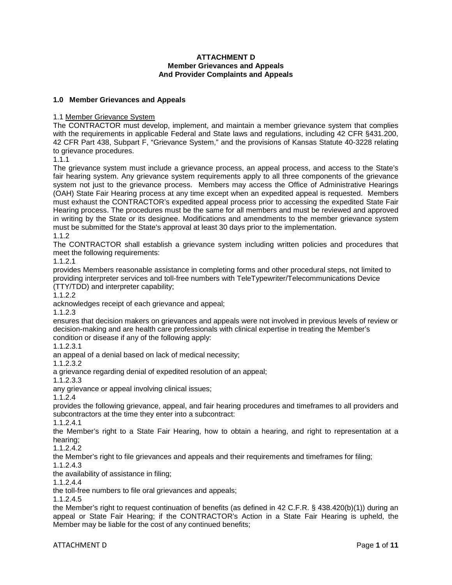### **ATTACHMENT D Member Grievances and Appeals And Provider Complaints and Appeals**

## **1.0 Member Grievances and Appeals**

### 1.1 Member Grievance System

The CONTRACTOR must develop, implement, and maintain a member grievance system that complies with the requirements in applicable Federal and State laws and regulations, including 42 CFR §431.200, 42 CFR Part 438, Subpart F, "Grievance System," and the provisions of Kansas Statute 40-3228 relating to grievance procedures.

1.1.1

The grievance system must include a grievance process, an appeal process, and access to the State's fair hearing system. Any grievance system requirements apply to all three components of the grievance system not just to the grievance process. Members may access the Office of Administrative Hearings (OAH) State Fair Hearing process at any time except when an expedited appeal is requested. Members must exhaust the CONTRACTOR's expedited appeal process prior to accessing the expedited State Fair Hearing process. The procedures must be the same for all members and must be reviewed and approved in writing by the State or its designee. Modifications and amendments to the member grievance system must be submitted for the State's approval at least 30 days prior to the implementation. 1.1.2

The CONTRACTOR shall establish a grievance system including written policies and procedures that meet the following requirements:

1.1.2.1

provides Members reasonable assistance in completing forms and other procedural steps, not limited to providing interpreter services and toll-free numbers with TeleTypewriter/Telecommunications Device (TTY/TDD) and interpreter capability;

1.1.2.2

acknowledges receipt of each grievance and appeal;

1.1.2.3

ensures that decision makers on grievances and appeals were not involved in previous levels of review or decision-making and are health care professionals with clinical expertise in treating the Member's condition or disease if any of the following apply:

1.1.2.3.1

an appeal of a denial based on lack of medical necessity;

1.1.2.3.2

a grievance regarding denial of expedited resolution of an appeal;

1.1.2.3.3

any grievance or appeal involving clinical issues;

1.1.2.4

provides the following grievance, appeal, and fair hearing procedures and timeframes to all providers and subcontractors at the time they enter into a subcontract:

1.1.2.4.1

the Member's right to a State Fair Hearing, how to obtain a hearing, and right to representation at a hearing;

1.1.2.4.2

the Member's right to file grievances and appeals and their requirements and timeframes for filing;

1.1.2.4.3 the availability of assistance in filing;

1.1.2.4.4

the toll-free numbers to file oral grievances and appeals;

1.1.2.4.5

the Member's right to request continuation of benefits (as defined in 42 C.F.R. § 438.420(b)(1)) during an appeal or State Fair Hearing; if the CONTRACTOR's Action in a State Fair Hearing is upheld, the Member may be liable for the cost of any continued benefits;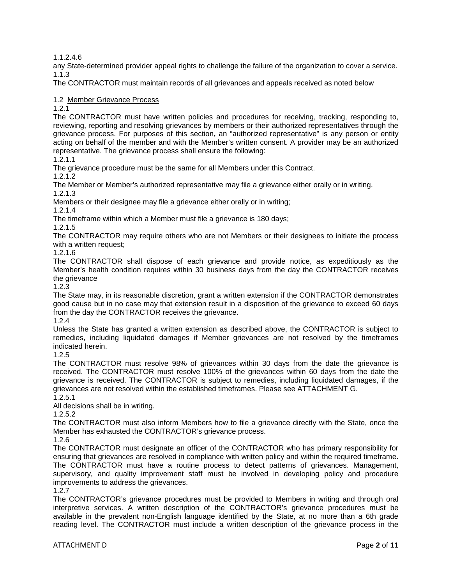1.1.2.4.6

any State-determined provider appeal rights to challenge the failure of the organization to cover a service. 1.1.3

The CONTRACTOR must maintain records of all grievances and appeals received as noted below

1.2 Member Grievance Process

1.2.1

The CONTRACTOR must have written policies and procedures for receiving, tracking, responding to, reviewing, reporting and resolving grievances by members or their authorized representatives through the grievance process. For purposes of this section**,** an "authorized representative" is any person or entity acting on behalf of the member and with the Member's written consent. A provider may be an authorized representative. The grievance process shall ensure the following:

1.2.1.1

The grievance procedure must be the same for all Members under this Contract.

1.2.1.2

The Member or Member's authorized representative may file a grievance either orally or in writing. 1.2.1.3

Members or their designee may file a grievance either orally or in writing;

1.2.1.4

The timeframe within which a Member must file a grievance is 180 days;

1.2.1.5

The CONTRACTOR may require others who are not Members or their designees to initiate the process with a written request;

1.2.1.6

The CONTRACTOR shall dispose of each grievance and provide notice, as expeditiously as the Member's health condition requires within 30 business days from the day the CONTRACTOR receives the grievance

1.2.3

The State may, in its reasonable discretion, grant a written extension if the CONTRACTOR demonstrates good cause but in no case may that extension result in a disposition of the grievance to exceed 60 days from the day the CONTRACTOR receives the grievance.

1.2.4

Unless the State has granted a written extension as described above, the CONTRACTOR is subject to remedies, including liquidated damages if Member grievances are not resolved by the timeframes indicated herein.

1.2.5

The CONTRACTOR must resolve 98% of grievances within 30 days from the date the grievance is received. The CONTRACTOR must resolve 100% of the grievances within 60 days from the date the grievance is received. The CONTRACTOR is subject to remedies, including liquidated damages, if the grievances are not resolved within the established timeframes. Please see ATTACHMENT G.

1.2.5.1

All decisions shall be in writing.

1.2.5.2

The CONTRACTOR must also inform Members how to file a grievance directly with the State, once the Member has exhausted the CONTRACTOR's grievance process.

1.2.6

The CONTRACTOR must designate an officer of the CONTRACTOR who has primary responsibility for ensuring that grievances are resolved in compliance with written policy and within the required timeframe. The CONTRACTOR must have a routine process to detect patterns of grievances. Management, supervisory, and quality improvement staff must be involved in developing policy and procedure improvements to address the grievances.

1.2.7

The CONTRACTOR's grievance procedures must be provided to Members in writing and through oral interpretive services. A written description of the CONTRACTOR's grievance procedures must be available in the prevalent non-English language identified by the State, at no more than a 6th grade reading level. The CONTRACTOR must include a written description of the grievance process in the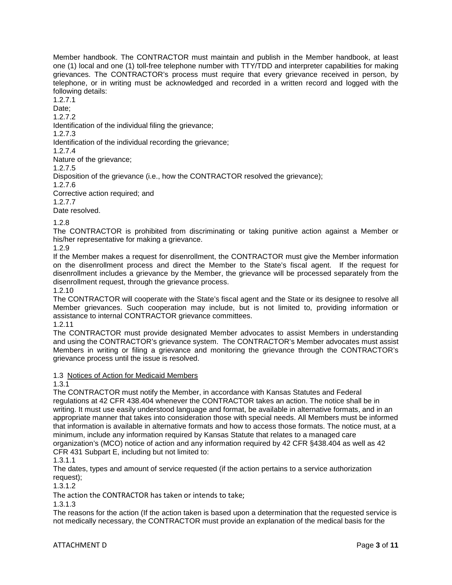Member handbook. The CONTRACTOR must maintain and publish in the Member handbook, at least one (1) local and one (1) toll-free telephone number with TTY/TDD and interpreter capabilities for making grievances. The CONTRACTOR's process must require that every grievance received in person, by telephone, or in writing must be acknowledged and recorded in a written record and logged with the following details:

1.2.7.1

Date:

1.2.7.2

Identification of the individual filing the grievance;

1.2.7.3

Identification of the individual recording the grievance;

1.2.7.4

Nature of the grievance;

1.2.7.5

Disposition of the grievance (i.e., how the CONTRACTOR resolved the grievance);

1.2.7.6

Corrective action required; and

1.2.7.7

Date resolved.

1.2.8

The CONTRACTOR is prohibited from discriminating or taking punitive action against a Member or his/her representative for making a grievance.

1.2.9

If the Member makes a request for disenrollment, the CONTRACTOR must give the Member information on the disenrollment process and direct the Member to the State's fiscal agent. If the request for disenrollment includes a grievance by the Member, the grievance will be processed separately from the disenrollment request, through the grievance process.

1.2.10

The CONTRACTOR will cooperate with the State's fiscal agent and the State or its designee to resolve all Member grievances. Such cooperation may include, but is not limited to, providing information or assistance to internal CONTRACTOR grievance committees.

1.2.11

The CONTRACTOR must provide designated Member advocates to assist Members in understanding and using the CONTRACTOR's grievance system. The CONTRACTOR's Member advocates must assist Members in writing or filing a grievance and monitoring the grievance through the CONTRACTOR's grievance process until the issue is resolved.

## 1.3 Notices of Action for Medicaid Members

1.3.1

The CONTRACTOR must notify the Member, in accordance with Kansas Statutes and Federal regulations at 42 CFR 438.404 whenever the CONTRACTOR takes an action. The notice shall be in writing. It must use easily understood language and format, be available in alternative formats, and in an appropriate manner that takes into consideration those with special needs. All Members must be informed that information is available in alternative formats and how to access those formats. The notice must, at a minimum, include any information required by Kansas Statute that relates to a managed care organization's (MCO) notice of action and any information required by 42 CFR §438.404 as well as 42 CFR 431 Subpart E, including but not limited to:

1.3.1.1

The dates, types and amount of service requested (if the action pertains to a service authorization request);

1.3.1.2

The action the CONTRACTOR has taken or intends to take;

1.3.1.3

The reasons for the action (If the action taken is based upon a determination that the requested service is not medically necessary, the CONTRACTOR must provide an explanation of the medical basis for the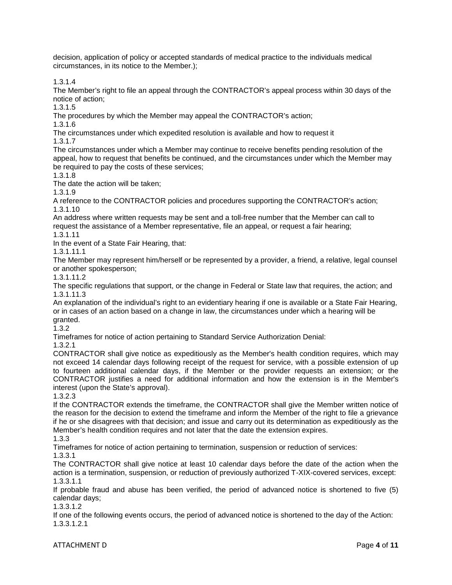decision, application of policy or accepted standards of medical practice to the individuals medical circumstances, in its notice to the Member.);

1.3.1.4

The Member's right to file an appeal through the CONTRACTOR's appeal process within 30 days of the notice of action;

1.3.1.5

The procedures by which the Member may appeal the CONTRACTOR's action;

1.3.1.6

The circumstances under which expedited resolution is available and how to request it

1.3.1.7

The circumstances under which a Member may continue to receive benefits pending resolution of the appeal, how to request that benefits be continued, and the circumstances under which the Member may be required to pay the costs of these services;

1.3.1.8

The date the action will be taken;

1.3.1.9

A reference to the CONTRACTOR policies and procedures supporting the CONTRACTOR's action; 1.3.1.10

An address where written requests may be sent and a toll-free number that the Member can call to request the assistance of a Member representative, file an appeal, or request a fair hearing;

1.3.1.11

In the event of a State Fair Hearing, that:

1.3.1.11.1

The Member may represent him/herself or be represented by a provider, a friend, a relative, legal counsel or another spokesperson;

1.3.1.11.2

The specific regulations that support, or the change in Federal or State law that requires, the action; and 1.3.1.11.3

An explanation of the individual's right to an evidentiary hearing if one is available or a State Fair Hearing, or in cases of an action based on a change in law, the circumstances under which a hearing will be granted.

1.3.2

Timeframes for notice of action pertaining to Standard Service Authorization Denial:

1.3.2.1

CONTRACTOR shall give notice as expeditiously as the Member's health condition requires, which may not exceed 14 calendar days following receipt of the request for service, with a possible extension of up to fourteen additional calendar days, if the Member or the provider requests an extension; or the CONTRACTOR justifies a need for additional information and how the extension is in the Member's interest (upon the State's approval).

1.3.2.3

If the CONTRACTOR extends the timeframe, the CONTRACTOR shall give the Member written notice of the reason for the decision to extend the timeframe and inform the Member of the right to file a grievance if he or she disagrees with that decision; and issue and carry out its determination as expeditiously as the Member's health condition requires and not later that the date the extension expires.

1.3.3

Timeframes for notice of action pertaining to termination, suspension or reduction of services:

## 1.3.3.1

The CONTRACTOR shall give notice at least 10 calendar days before the date of the action when the action is a termination, suspension, or reduction of previously authorized T-XIX-covered services, except: 1.3.3.1.1

If probable fraud and abuse has been verified, the period of advanced notice is shortened to five (5) calendar days;

1.3.3.1.2

If one of the following events occurs, the period of advanced notice is shortened to the day of the Action: 1.3.3.1.2.1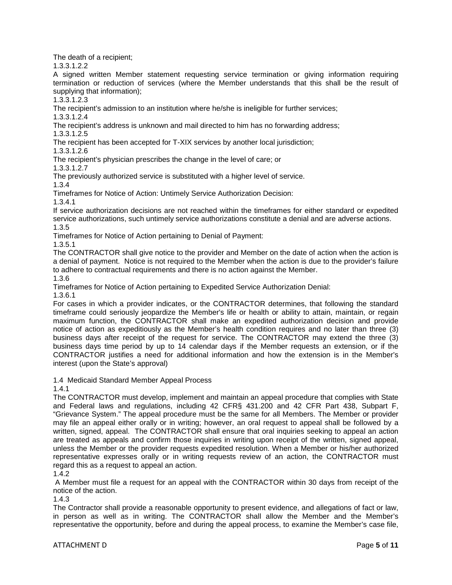The death of a recipient;

1.3.3.1.2.2

A signed written Member statement requesting service termination or giving information requiring termination or reduction of services (where the Member understands that this shall be the result of supplying that information);

1.3.3.1.2.3

The recipient's admission to an institution where he/she is ineligible for further services;

1.3.3.1.2.4

The recipient's address is unknown and mail directed to him has no forwarding address; 1.3.3.1.2.5

The recipient has been accepted for T-XIX services by another local jurisdiction;

1.3.3.1.2.6

The recipient's physician prescribes the change in the level of care; or

1.3.3.1.2.7

The previously authorized service is substituted with a higher level of service.

1.3.4

Timeframes for Notice of Action: Untimely Service Authorization Decision:

1.3.4.1

If service authorization decisions are not reached within the timeframes for either standard or expedited service authorizations, such untimely service authorizations constitute a denial and are adverse actions. 1.3.5

Timeframes for Notice of Action pertaining to Denial of Payment:

1.3.5.1

The CONTRACTOR shall give notice to the provider and Member on the date of action when the action is a denial of payment. Notice is not required to the Member when the action is due to the provider's failure to adhere to contractual requirements and there is no action against the Member.

1.3.6

Timeframes for Notice of Action pertaining to Expedited Service Authorization Denial:

1.3.6.1

For cases in which a provider indicates, or the CONTRACTOR determines, that following the standard timeframe could seriously jeopardize the Member's life or health or ability to attain, maintain, or regain maximum function, the CONTRACTOR shall make an expedited authorization decision and provide notice of action as expeditiously as the Member's health condition requires and no later than three (3) business days after receipt of the request for service. The CONTRACTOR may extend the three (3) business days time period by up to 14 calendar days if the Member requests an extension, or if the CONTRACTOR justifies a need for additional information and how the extension is in the Member's interest (upon the State's approval)

1.4 Medicaid Standard Member Appeal Process

1.4.1

The CONTRACTOR must develop, implement and maintain an appeal procedure that complies with State and Federal laws and regulations, including 42 CFR§ 431.200 and 42 CFR Part 438, Subpart F, "Grievance System." The appeal procedure must be the same for all Members. The Member or provider may file an appeal either orally or in writing; however, an oral request to appeal shall be followed by a written, signed, appeal. The CONTRACTOR shall ensure that oral inquiries seeking to appeal an action are treated as appeals and confirm those inquiries in writing upon receipt of the written, signed appeal, unless the Member or the provider requests expedited resolution. When a Member or his/her authorized representative expresses orally or in writing requests review of an action, the CONTRACTOR must regard this as a request to appeal an action.

1.4.2

A Member must file a request for an appeal with the CONTRACTOR within 30 days from receipt of the notice of the action.

1.4.3

The Contractor shall provide a reasonable opportunity to present evidence, and allegations of fact or law, in person as well as in writing. The CONTRACTOR shall allow the Member and the Member's representative the opportunity, before and during the appeal process, to examine the Member's case file,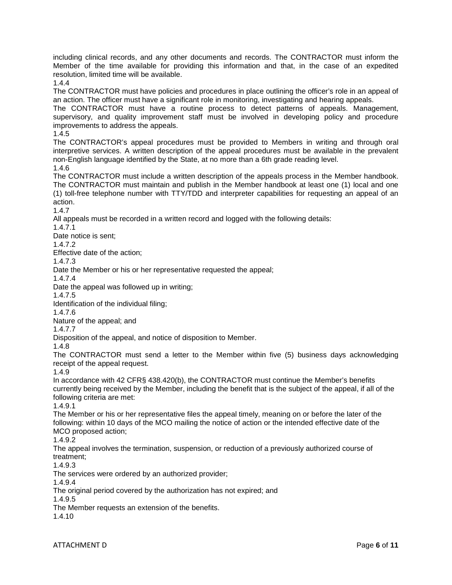including clinical records, and any other documents and records. The CONTRACTOR must inform the Member of the time available for providing this information and that, in the case of an expedited resolution, limited time will be available.

1.4.4

The CONTRACTOR must have policies and procedures in place outlining the officer's role in an appeal of an action. The officer must have a significant role in monitoring, investigating and hearing appeals.

The CONTRACTOR must have a routine process to detect patterns of appeals. Management, supervisory, and quality improvement staff must be involved in developing policy and procedure improvements to address the appeals.

1.4.5

The CONTRACTOR's appeal procedures must be provided to Members in writing and through oral interpretive services. A written description of the appeal procedures must be available in the prevalent non-English language identified by the State, at no more than a 6th grade reading level.

1.4.6

The CONTRACTOR must include a written description of the appeals process in the Member handbook. The CONTRACTOR must maintain and publish in the Member handbook at least one (1) local and one (1) toll-free telephone number with TTY/TDD and interpreter capabilities for requesting an appeal of an action.

1.4.7

All appeals must be recorded in a written record and logged with the following details:

1.4.7.1

Date notice is sent;

1.4.7.2

Effective date of the action;

1.4.7.3

Date the Member or his or her representative requested the appeal;

1.4.7.4

Date the appeal was followed up in writing;

1.4.7.5

Identification of the individual filing;

1.4.7.6

Nature of the appeal; and

1.4.7.7

Disposition of the appeal, and notice of disposition to Member.

1.4.8

The CONTRACTOR must send a letter to the Member within five (5) business days acknowledging receipt of the appeal request.

1.4.9

In accordance with 42 CFR§ 438.420(b), the CONTRACTOR must continue the Member's benefits currently being received by the Member, including the benefit that is the subject of the appeal, if all of the following criteria are met:

1.4.9.1

The Member or his or her representative files the appeal timely, meaning on or before the later of the following: within 10 days of the MCO mailing the notice of action or the intended effective date of the MCO proposed action;

1.4.9.2

The appeal involves the termination, suspension, or reduction of a previously authorized course of treatment;

1.4.9.3

The services were ordered by an authorized provider;

1.4.9.4

The original period covered by the authorization has not expired; and

1.4.9.5

The Member requests an extension of the benefits.

1.4.10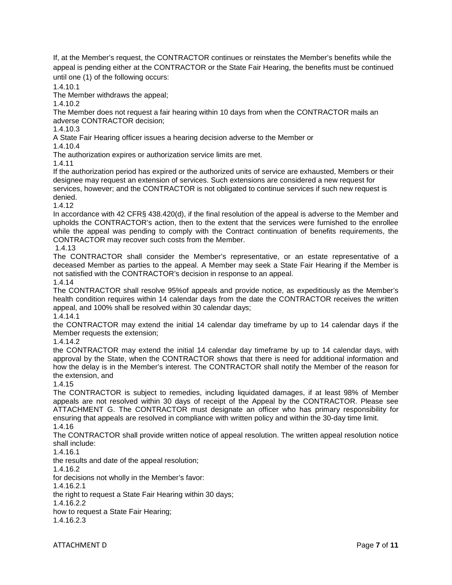If, at the Member's request, the CONTRACTOR continues or reinstates the Member's benefits while the appeal is pending either at the CONTRACTOR or the State Fair Hearing, the benefits must be continued until one (1) of the following occurs:

1.4.10.1

The Member withdraws the appeal;

1.4.10.2

The Member does not request a fair hearing within 10 days from when the CONTRACTOR mails an adverse CONTRACTOR decision;

1.4.10.3

A State Fair Hearing officer issues a hearing decision adverse to the Member or

1.4.10.4

The authorization expires or authorization service limits are met.

1.4.11

If the authorization period has expired or the authorized units of service are exhausted, Members or their designee may request an extension of services. Such extensions are considered a new request for services, however; and the CONTRACTOR is not obligated to continue services if such new request is denied.

1.4.12

In accordance with 42 CFR§ 438.420(d), if the final resolution of the appeal is adverse to the Member and upholds the CONTRACTOR's action, then to the extent that the services were furnished to the enrollee while the appeal was pending to comply with the Contract continuation of benefits requirements, the CONTRACTOR may recover such costs from the Member.

1.4.13

The CONTRACTOR shall consider the Member's representative, or an estate representative of a deceased Member as parties to the appeal. A Member may seek a State Fair Hearing if the Member is not satisfied with the CONTRACTOR's decision in response to an appeal. 1.4.14

The CONTRACTOR shall resolve 95%of appeals and provide notice, as expeditiously as the Member's health condition requires within 14 calendar days from the date the CONTRACTOR receives the written appeal, and 100% shall be resolved within 30 calendar days;

1.4.14.1

the CONTRACTOR may extend the initial 14 calendar day timeframe by up to 14 calendar days if the Member requests the extension;

1.4.14.2

the CONTRACTOR may extend the initial 14 calendar day timeframe by up to 14 calendar days, with approval by the State, when the CONTRACTOR shows that there is need for additional information and how the delay is in the Member's interest. The CONTRACTOR shall notify the Member of the reason for the extension, and

1.4.15

The CONTRACTOR is subject to remedies, including liquidated damages, if at least 98% of Member appeals are not resolved within 30 days of receipt of the Appeal by the CONTRACTOR. Please see ATTACHMENT G. The CONTRACTOR must designate an officer who has primary responsibility for ensuring that appeals are resolved in compliance with written policy and within the 30-day time limit. 1.4.16

The CONTRACTOR shall provide written notice of appeal resolution. The written appeal resolution notice shall include:

1.4.16.1

the results and date of the appeal resolution;

1.4.16.2

for decisions not wholly in the Member's favor:

1.4.16.2.1

the right to request a State Fair Hearing within 30 days;

1.4.16.2.2

how to request a State Fair Hearing;

1.4.16.2.3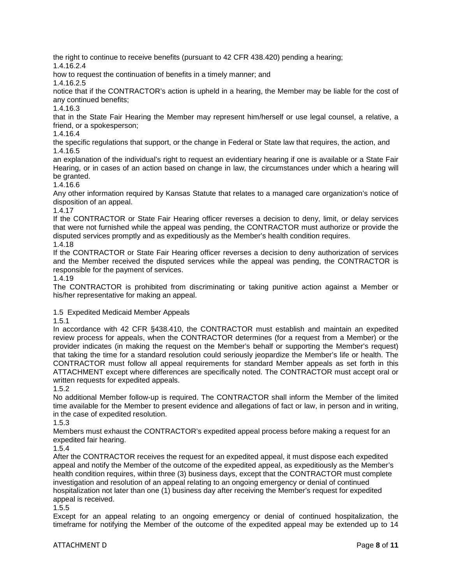the right to continue to receive benefits (pursuant to 42 CFR 438.420) pending a hearing;

1.4.16.2.4

how to request the continuation of benefits in a timely manner; and

1.4.16.2.5

notice that if the CONTRACTOR's action is upheld in a hearing, the Member may be liable for the cost of any continued benefits;

1.4.16.3

that in the State Fair Hearing the Member may represent him/herself or use legal counsel, a relative, a friend, or a spokesperson;

1.4.16.4

the specific regulations that support, or the change in Federal or State law that requires, the action, and 1.4.16.5

an explanation of the individual's right to request an evidentiary hearing if one is available or a State Fair Hearing, or in cases of an action based on change in law, the circumstances under which a hearing will be granted.

1.4.16.6

Any other information required by Kansas Statute that relates to a managed care organization's notice of disposition of an appeal.

1.4.17

If the CONTRACTOR or State Fair Hearing officer reverses a decision to deny, limit, or delay services that were not furnished while the appeal was pending, the CONTRACTOR must authorize or provide the disputed services promptly and as expeditiously as the Member's health condition requires.

1.4.18

If the CONTRACTOR or State Fair Hearing officer reverses a decision to deny authorization of services and the Member received the disputed services while the appeal was pending, the CONTRACTOR is responsible for the payment of services.

1.4.19

The CONTRACTOR is prohibited from discriminating or taking punitive action against a Member or his/her representative for making an appeal.

1.5 Expedited Medicaid Member Appeals

1.5.1

In accordance with 42 CFR §438.410, the CONTRACTOR must establish and maintain an expedited review process for appeals, when the CONTRACTOR determines (for a request from a Member) or the provider indicates (in making the request on the Member's behalf or supporting the Member's request) that taking the time for a standard resolution could seriously jeopardize the Member's life or health. The CONTRACTOR must follow all appeal requirements for standard Member appeals as set forth in this ATTACHMENT except where differences are specifically noted. The CONTRACTOR must accept oral or written requests for expedited appeals.

1.5.2

No additional Member follow-up is required. The CONTRACTOR shall inform the Member of the limited time available for the Member to present evidence and allegations of fact or law, in person and in writing, in the case of expedited resolution.

1.5.3

Members must exhaust the CONTRACTOR's expedited appeal process before making a request for an expedited fair hearing.

1.5.4

After the CONTRACTOR receives the request for an expedited appeal, it must dispose each expedited appeal and notify the Member of the outcome of the expedited appeal, as expeditiously as the Member's health condition requires, within three (3) business days, except that the CONTRACTOR must complete investigation and resolution of an appeal relating to an ongoing emergency or denial of continued hospitalization not later than one (1) business day after receiving the Member's request for expedited appeal is received.

1.5.5

Except for an appeal relating to an ongoing emergency or denial of continued hospitalization, the timeframe for notifying the Member of the outcome of the expedited appeal may be extended up to 14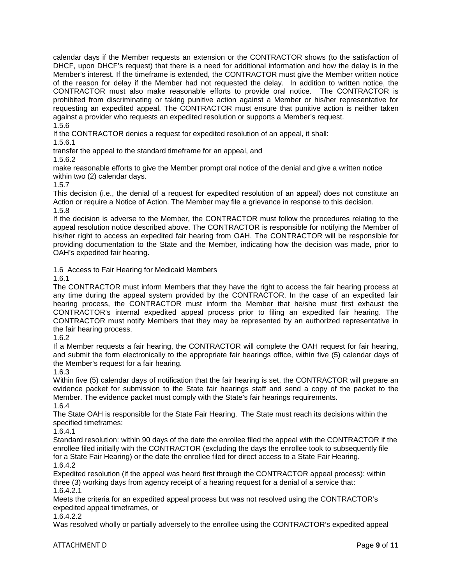calendar days if the Member requests an extension or the CONTRACTOR shows (to the satisfaction of DHCF, upon DHCF's request) that there is a need for additional information and how the delay is in the Member's interest. If the timeframe is extended, the CONTRACTOR must give the Member written notice of the reason for delay if the Member had not requested the delay. In addition to written notice, the CONTRACTOR must also make reasonable efforts to provide oral notice. The CONTRACTOR is prohibited from discriminating or taking punitive action against a Member or his/her representative for requesting an expedited appeal. The CONTRACTOR must ensure that punitive action is neither taken against a provider who requests an expedited resolution or supports a Member's request. 1.5.6

If the CONTRACTOR denies a request for expedited resolution of an appeal, it shall:

1.5.6.1

transfer the appeal to the standard timeframe for an appeal, and

1.5.6.2

make reasonable efforts to give the Member prompt oral notice of the denial and give a written notice within two (2) calendar days.

1.5.7

This decision (i.e., the denial of a request for expedited resolution of an appeal) does not constitute an Action or require a Notice of Action. The Member may file a grievance in response to this decision. 1.5.8

If the decision is adverse to the Member, the CONTRACTOR must follow the procedures relating to the appeal resolution notice described above. The CONTRACTOR is responsible for notifying the Member of his/her right to access an expedited fair hearing from OAH. The CONTRACTOR will be responsible for providing documentation to the State and the Member, indicating how the decision was made, prior to OAH's expedited fair hearing.

1.6 Access to Fair Hearing for Medicaid Members

1.6.1

The CONTRACTOR must inform Members that they have the right to access the fair hearing process at any time during the appeal system provided by the CONTRACTOR. In the case of an expedited fair hearing process, the CONTRACTOR must inform the Member that he/she must first exhaust the CONTRACTOR's internal expedited appeal process prior to filing an expedited fair hearing. The CONTRACTOR must notify Members that they may be represented by an authorized representative in the fair hearing process.

1.6.2

If a Member requests a fair hearing, the CONTRACTOR will complete the OAH request for fair hearing, and submit the form electronically to the appropriate fair hearings office, within five (5) calendar days of the Member's request for a fair hearing.

1.6.3

Within five (5) calendar days of notification that the fair hearing is set, the CONTRACTOR will prepare an evidence packet for submission to the State fair hearings staff and send a copy of the packet to the Member. The evidence packet must comply with the State's fair hearings requirements.

1.6.4

The State OAH is responsible for the State Fair Hearing. The State must reach its decisions within the specified timeframes:

1.6.4.1

Standard resolution: within 90 days of the date the enrollee filed the appeal with the CONTRACTOR if the enrollee filed initially with the CONTRACTOR (excluding the days the enrollee took to subsequently file for a State Fair Hearing) or the date the enrollee filed for direct access to a State Fair Hearing. 1.6.4.2

Expedited resolution (if the appeal was heard first through the CONTRACTOR appeal process): within three (3) working days from agency receipt of a hearing request for a denial of a service that: 1.6.4.2.1

Meets the criteria for an expedited appeal process but was not resolved using the CONTRACTOR's expedited appeal timeframes, or

1.6.4.2.2

Was resolved wholly or partially adversely to the enrollee using the CONTRACTOR's expedited appeal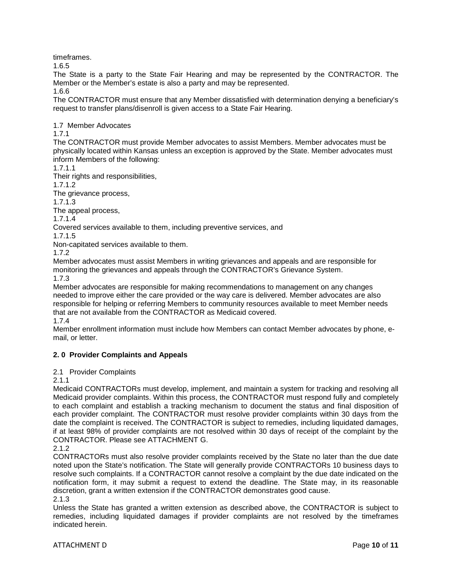timeframes.

1.6.5

The State is a party to the State Fair Hearing and may be represented by the CONTRACTOR. The Member or the Member's estate is also a party and may be represented.

1.6.6

The CONTRACTOR must ensure that any Member dissatisfied with determination denying a beneficiary's request to transfer plans/disenroll is given access to a State Fair Hearing.

1.7 Member Advocates

1.7.1

The CONTRACTOR must provide Member advocates to assist Members. Member advocates must be physically located within Kansas unless an exception is approved by the State. Member advocates must inform Members of the following:

1.7.1.1

Their rights and responsibilities,

1.7.1.2

The grievance process,

1.7.1.3

The appeal process,

1.7.1.4

Covered services available to them, including preventive services, and

1.7.1.5

Non-capitated services available to them.

1.7.2

Member advocates must assist Members in writing grievances and appeals and are responsible for monitoring the grievances and appeals through the CONTRACTOR's Grievance System. 1.7.3

Member advocates are responsible for making recommendations to management on any changes needed to improve either the care provided or the way care is delivered. Member advocates are also responsible for helping or referring Members to community resources available to meet Member needs that are not available from the CONTRACTOR as Medicaid covered.

1.7.4

Member enrollment information must include how Members can contact Member advocates by phone, email, or letter.

# **2. 0 Provider Complaints and Appeals**

2.1 Provider Complaints

2.1.1

Medicaid CONTRACTORs must develop, implement, and maintain a system for tracking and resolving all Medicaid provider complaints. Within this process, the CONTRACTOR must respond fully and completely to each complaint and establish a tracking mechanism to document the status and final disposition of each provider complaint. The CONTRACTOR must resolve provider complaints within 30 days from the date the complaint is received. The CONTRACTOR is subject to remedies, including liquidated damages, if at least 98% of provider complaints are not resolved within 30 days of receipt of the complaint by the CONTRACTOR. Please see ATTACHMENT G.

CONTRACTORs must also resolve provider complaints received by the State no later than the due date noted upon the State's notification. The State will generally provide CONTRACTORs 10 business days to resolve such complaints. If a CONTRACTOR cannot resolve a complaint by the due date indicated on the notification form, it may submit a request to extend the deadline. The State may, in its reasonable discretion, grant a written extension if the CONTRACTOR demonstrates good cause.

2.1.3

Unless the State has granted a written extension as described above, the CONTRACTOR is subject to remedies, including liquidated damages if provider complaints are not resolved by the timeframes indicated herein.

<sup>2.1.2</sup>